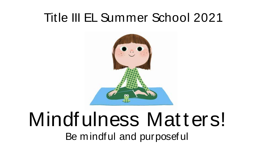## Title III EL Summer School 2021



# Mindfulness Matters! Be mindful and purposeful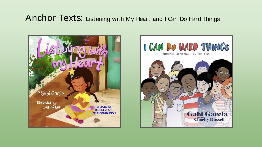#### Anchor Texts: Listening with My Heart and I Can Do Hard Things



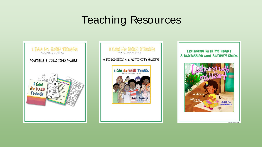## Teaching Resources





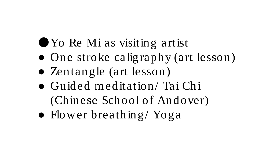# ●Yo Re Mi as visiting artist

- One stroke caligraphy (art lesson)
- Zentangle (art lesson)
- Guided m editation/ Tai Chi (Chinese School of Andover)
- Flow er breathing/ Yoga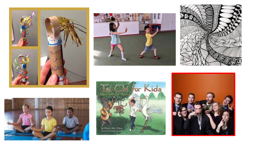









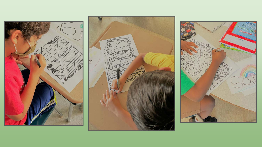



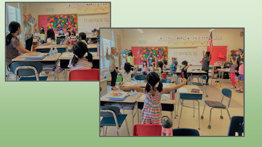

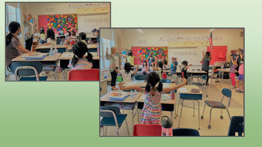

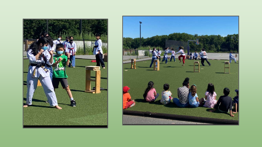

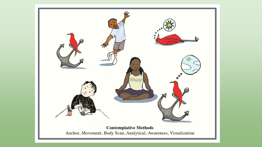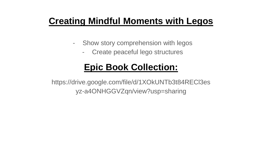## **Creating Mindful Moments with Legos**

- Show story comprehension with legos
	- Create peaceful lego structures

## **Epic Book Collection:**

https://drive.google.com/file/d/1XOkUNTb3t84RECl3es yz-a4ONHGGVZqn/view?usp=sharing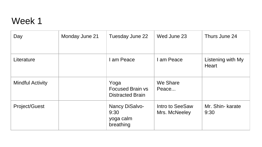### Week 1

| Day                     | Monday June 21 | Tuesday June 22                                            | Wed June 23                      | Thurs June 24              |
|-------------------------|----------------|------------------------------------------------------------|----------------------------------|----------------------------|
| Literature              |                | am Peace                                                   | I am Peace                       | Listening with My<br>Heart |
| <b>Mindful Activity</b> |                | Yoga<br><b>Focused Brain vs</b><br><b>Distracted Brain</b> | We Share<br>Peace                |                            |
| <b>Project/Guest</b>    |                | Nancy DiSalvo-<br>9:30<br>yoga calm<br>breathing           | Intro to SeeSaw<br>Mrs. McNeeley | Mr. Shin- karate<br>9:30   |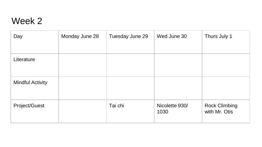### Week 2

| Day                     | Monday June 28 | Tuesday June 29 | Wed June 30            | Thurs July 1                          |
|-------------------------|----------------|-----------------|------------------------|---------------------------------------|
| Literature              |                |                 |                        |                                       |
| <b>Mindful Activity</b> |                |                 |                        |                                       |
| Project/Guest           |                | Tai chi         | Nicolette 930/<br>1030 | <b>Rock Climbing</b><br>with Mr. Otis |